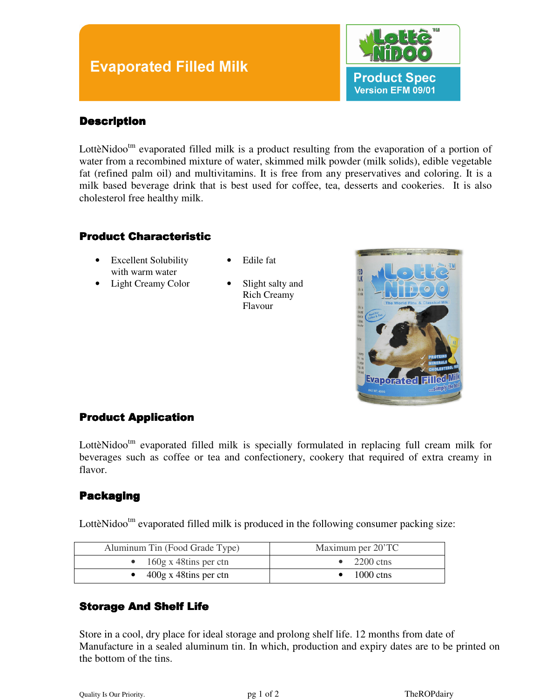# **Evaporated Filled Milk**



#### **Description**

LottèNidoo<sup>tm</sup> evaporated filled milk is a product resulting from the evaporation of a portion of water from a recombined mixture of water, skimmed milk powder (milk solids), edible vegetable fat (refined palm oil) and multivitamins. It is free from any preservatives and coloring. It is a milk based beverage drink that is best used for coffee, tea, desserts and cookeries. It is also cholesterol free healthy milk.

## **Product Characteristic**

- Excellent Solubility with warm water
- Light Creamy Color Slight salty and
- Edile fat
- Rich Creamy Flavour



#### **Product Application**

LottèNidoo<sup>tm</sup> evaporated filled milk is specially formulated in replacing full cream milk for beverages such as coffee or tea and confectionery, cookery that required of extra creamy in flavor.

## Packaging

LottèNidoo<sup>tm</sup> evaporated filled milk is produced in the following consumer packing size:

| Aluminum Tin (Food Grade Type)  | Maximum per 20'TC   |
|---------------------------------|---------------------|
| $\bullet$ 160g x 48tins per ctn | $\bullet$ 2200 ctns |
| $400g \times 48t$ ins per ctn   | $1000 \text{ ctns}$ |

## **Storage And Shelf Life**

Store in a cool, dry place for ideal storage and prolong shelf life. 12 months from date of Manufacture in a sealed aluminum tin. In which, production and expiry dates are to be printed on the bottom of the tins.